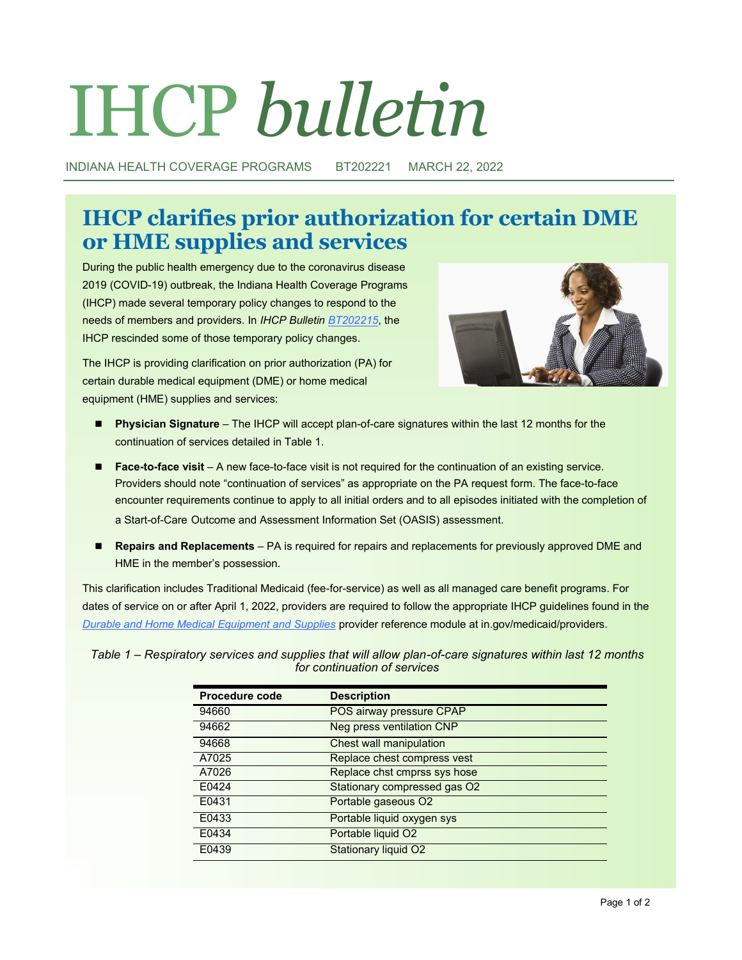# IHCP *bulletin*

INDIANA HEALTH COVERAGE PROGRAMS BT202221 MARCH 22, 2022

# **IHCP clarifies prior authorization for certain DME or HME supplies and services**

During the public health emergency due to the coronavirus disease 2019 (COVID-19) outbreak, the Indiana Health Coverage Programs (IHCP) made several temporary policy changes to respond to the needs of members and providers. In *IHCP Bulletin [BT202215](http://provider.indianamedicaid.com/ihcp/Bulletins/BT202215.pdf)*, the IHCP rescinded some of those temporary policy changes.



The IHCP is providing clarification on prior authorization (PA) for certain durable medical equipment (DME) or home medical equipment (HME) supplies and services:

- ◼ **Physician Signature** The IHCP will accept plan-of-care signatures within the last 12 months for the continuation of services detailed in Table 1.
- **Face-to-face visit** A new face-to-face visit is not required for the continuation of an existing service. Providers should note "continuation of services" as appropriate on the PA request form. The face-to-face encounter requirements continue to apply to all initial orders and to all episodes initiated with the completion of a Start-of-Care Outcome and Assessment Information Set (OASIS) assessment.
- ◼ **Repairs and Replacements** PA is required for repairs and replacements for previously approved DME and HME in the member's possession.

This clarification includes Traditional Medicaid (fee-for-service) as well as all managed care benefit programs. For dates of service on or after April 1, 2022, providers are required to follow the appropriate IHCP guidelines found in the *[Durable and Home Medical Equipment and Supplies](https://www.in.gov/medicaid/providers/files/durable-and-home-medical-equipment-and-supplies.pdf)* provider reference module at in.gov/medicaid/providers.

*Table 1 – Respiratory services and supplies that will allow plan-of-care signatures within last 12 months for continuation of services*

| <b>Procedure code</b> | <b>Description</b>           |
|-----------------------|------------------------------|
| 94660                 | POS airway pressure CPAP     |
| 94662                 | Neg press ventilation CNP    |
| 94668                 | Chest wall manipulation      |
| A7025                 | Replace chest compress vest  |
| A7026                 | Replace chst cmprss sys hose |
| E0424                 | Stationary compressed gas O2 |
| E0431                 | Portable gaseous O2          |
| E0433                 | Portable liquid oxygen sys   |
| E0434                 | Portable liquid O2           |
| E0439                 | <b>Stationary liquid O2</b>  |